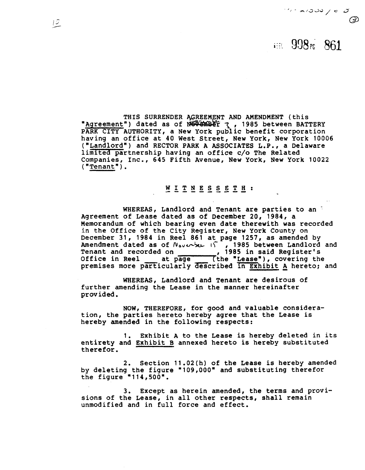## in 998<sup>r</sup> 861

 $\frac{1}{2}$ 

THIS SURRENDER AGREEMENT AND AMENDMENT (this "Agreement") dated as of Noth Der 7, 1985 between BATTERY PARK CITY AUTHORITY, a New York public benefit corporation having an office at 40 West Street, New York, New York 10006 ("Landlordn) and RECTOR PARK A ASSOCIATES L.P., a Delaware limited partnership having an office c/o The Related Companies, Inc., 645 Fifth Avenue, New York, New York 10022  $("Tenant")$ .

#### **MITNESSETH:**

WHEREAS, Landlord and Tenant are parties to an Agreement of Lease dated as of December 20, 1984, a Memorandum of which bearing even date therewith was recorded in the Office of the City Register, New York County on December 31, 1984 in Reel 861 at page 1257, as amended by Amendment dated as of **fi,~~-kL** ~r , 1985 between Landlord and Amendment dated as of N<sub>averber</sub> 1985 between Landlord<br>Tenant and recorded on 1985 in said Register's Tenant and recorded on 1985 in said Register's<br>Office in Reel \_\_\_ at page \_\_\_ (the "Lease"), covering the premises more particularly described in Exhibit A hereto; and

WHEREAS, Landlord and Tenant are desirous of further amending the Lease in the manner hereinafter provided.

NOW, THEREFORE, for good and valuable consideration, the parties hereto hereby agree that the Lease is hereby amended in the following respects:

1. Exhibit **A** to the Lease is herebv deleted in its entirety and Exhibit B annexed hereto is hereby substituted therefor.

2. Section 11.02(h) of the Lease is hereby amended by deleting the figure "109,000" and substituting therefor the figure  $"114,500"$ .

3. Except as herein amended, the terms and provisions of the Lease, in all other respects, shall remain unmodified and in full force and effect.

 $12$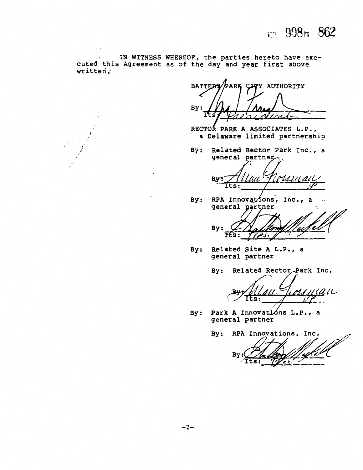

IN WITNESS WHEREOF, the parties hereto have executed this Agreement as of the day and year first above written;

.<br>.<br>.

**BATTERY** PARK CITY AUTHORITY By:

RECTOR PARK A ASSOCIATES L.P.,<br>a Delaware limited partnership

By: Related Rector Park Inc., a<br>general partner<br>
A**7** general partner

**B** Its: *&UIL* /L&U  $\overline{\phantom{a}}$ **/YJ** 

By: RPA Innovations, Inc., a general partner

By:  $\overline{\text{{\tt Ks}}:}$ 

By: Related Site A **L.P.,** a general partner

By: Related Rector Park Inc.

ts:

By: Park A Innovations L.P., a general partner

By: RPA Innovations, Inc. By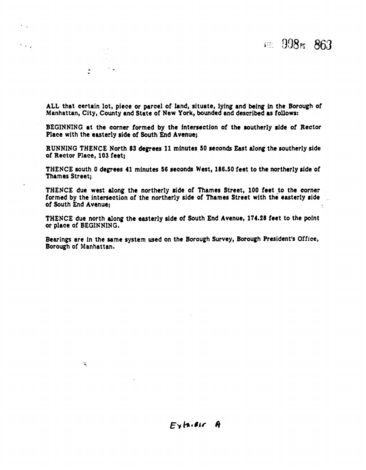**ALL** that certain lot, piece or parcel of land, situate, lying and being in the Borough of Manhattan, City, County and State of New York, bounded and described as follows:

 $\mathcal{F}(\mathcal{A})$  .

 $\mathbb{R}^+$ 

 $\mathcal{L}_{\mathcal{L}}$ 

BEGINNING at the corner formed by the intersection of the southerly side of Rector Place with the easterly side of South End Avenue;

RUNNING THENCE North 83 degrees **11** minutes 50 seconds **East** along the southerly side of Rector Place, **103** feet;

THENCE south **0** degrees 41 minutes **56** seconds West, **186.50** feet to the northerly side of Thames Street;

THENCE due west along the northerly side of Thames Street, 100 feet to the corner formed by the intersection of the northerly side of Thames Street with the easterly side of South End Avenue;

THENCE due north along the easterly side of South End Avenue, **174.28** feet to the point or place of BEGINNING.

Bearings are in the same system wed on the Borough Survey, Borough President's Office, Borough of Manhattan.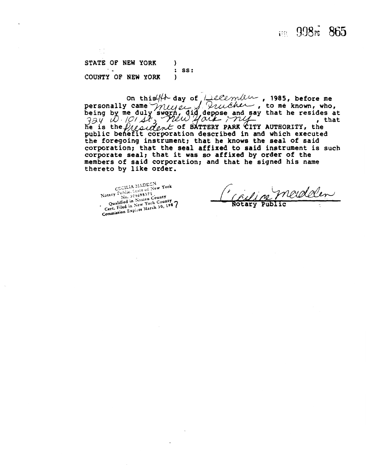### $F = 998F - 865$

**STATE OF NEW YORK** ) : SS:<br>) **COUNTY OF NEW YORK** )

1985, before me to me known, who,<br>to me known, who, that he resides at s ac<br>that AUTHORITY, the public behefit corporation described in and which executed the foregoing instrument; that he knows the seal of said corporation; that the seal affixed to said instrument is such corporate seal; that it was so affixed by order of the members of said corporation; and that he signed his name thereto by like order.

CECILIA MADELN<br>CECILIA MADELN<br>Notary Public, Scare of New York<br>Notary Public in Nassay<br>Oughtfied in Nassayork County tary Tubile, 04698371<br>No. 104698371<br>Qualified in Nassau County<br>Giled in New York Coun Qualified in Nassau County<br>Qualified in New York County<br>Cert. Filed in New York County Qualified in New York County<br>Cert. Filed in New York County<br>Commission Expires March 30, 1987

adalen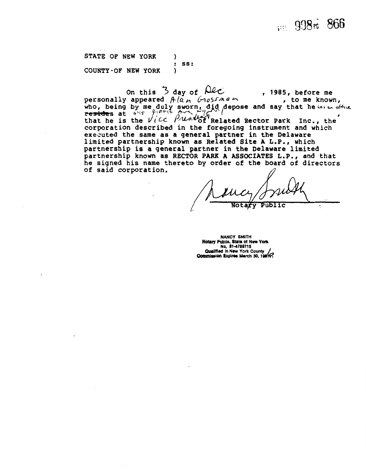# 1998<sup>r</sup> 866

**STATE OF NEW YORK (1)** : ss:<br>) COUNTY-OF NEW **YORK <sup>1</sup>**

COUNTY-OF NEW YORK )<br>
On this 3 day of Alc , 1985, before me<br>
personally appeared  $A(a_{n} \cup a_{0})$  , to me known, personally appeared  $A(\bar{a}_M$   $\bar{b}_0$   $\bar{b}_1$   $\bar{c}_1$  and say that he  $\bar{b}_1$  of the resides at  $\bar{b}_1$ . that he is the  $\sqrt{LC}$   $\beta$   $\gamma$   $\beta$   $\gamma$   $\gamma$  Related Rector Park Inc., the corporation described in the foregoing instrument and which executed the same as a general partner in the Delaware limited partnership known as Related Site A L.P., which partnership is a general partner in the Delaware limited partnership known as RECTOR PARK A ASSOCIATES L.P., and that he signed his name thereto by order of the board of directors<br>of said corporation.

Public

**NANCY SMITH Notary Public, State of New York** No. 31-4759715 **Qualified in New York County<br>Commission Expires March 30, 198.**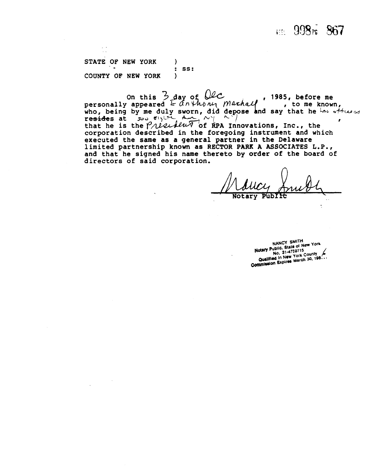### EEE 998F 867

**STATE OF NEW YORK 1** : SS:<br>) **COUNTY OF NEW YORK** )

COUNTY OF NEW YORK )<br>
On this  $\frac{33}{2}$  day of  $\theta$  , 1985, before me<br>
personally appeared  $\frac{1}{2}$  any *houn marhal* , to me known, personally appeared  $k = \overline{a} \wedge \sqrt{b} \wedge \sqrt{b}$  /  $\sqrt{b} \wedge \sqrt{b}$  **has a**  $\sqrt{b}$  **being** by me duly sworn, did depose and say that he known, resides at  $\lim_{n \to \infty} \frac{\epsilon_1}{1 + \epsilon_1} \lim_{n \to \infty} \frac{\epsilon_2}{1 + \epsilon_2}$ that he is the *President* of RPA Innovations, Inc., the corporation described in the foregoing instrument and which executed the same as a general partner in the Delaware limited partnership known as **RECTOR PARK A ASSOCIATES L.P.,**  and that he signed his name thereto by order of the board of directors of said corporation.

 $\overline{\mathcal{A}}$ 

NANCY SMITH NANCY SMITH<br>Notary Public, State of New York<br>Notary Public, State of New York No. State of No.<br>No. 31-4759715 Notary Public, State of 159715<br>No. 31-4759715<br>Qualified in New York County<br>Commission Expires March 30, 198...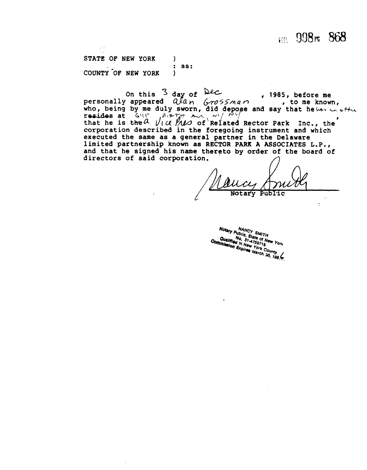1:51 998r 868

STATE OF NEW YORK 1 : **ss:**  COUNTY OF NEW YORK

COUNTY OF NEW YORK<br>
On this <sup>3</sup> day of <sup>Dec</sup>, 1985, before me<br>
personally appeared  $Q/a_n$  (rossman, to me known, personally appeared  $Q/dn$   $G/dn$   $G/dn$  , to me known, who, being by me duly sworn, did depose and say that heben we offer On this <sup>3</sup> day of Dec.<br>
personally appeared  $Q\ell a \sim Q$  for  $\ell$ , 1985, before me<br>
who, being by me duly sworn, did depose and say that helos on<br>
resides at  $G\ell \in \text{FPTF}$   $\sim Q$   $\ell'$   $\ell'$   $\ell'$   $\ell'$   $\ell'$   $\ell'$   $\ell'$   $\$ that he is the  $a$   $\sqrt{c}$   $\sqrt{w}$  of Related Rector Park Inc., the corporation described in the foregoing instrument and which executed the same as a general partner in the Delaware limited partnership known as RECTOR PARK A ASSOCIATES L.P., and that he signed his name thereto by order of the board of directors of said corporation.

Notary Public

Notary Public, State of New York<br>Commission Expires of New York<br>Commission Expires York County<br>Expires March 30, 1984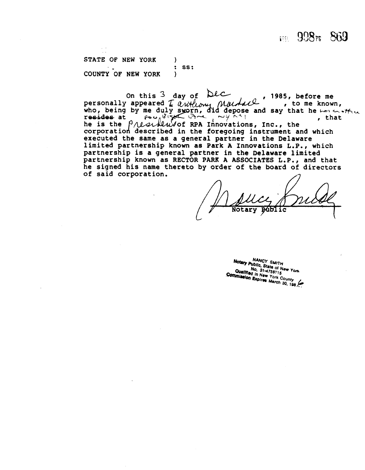**FEL 998FE 869** 

**STATE OF NEW YORK** : **ss: COUNTY OF NEW YORK** 

. .

, 1985, before me on this 3 day of Dec 5, before me<br>, to me known, who, being by me duly sworn, did depose and say that he  $L_{\text{H}} \sim \frac{1}{2}$  , that Inc., the corporation described in the foregoing instrument and which executed the same as a general partner in the Delaware limited partnership known as Park **A** Innovations L.P., which partnership is a general partner in the Delaware limited partnership known as **RECTOR** PARK **A ASSOCIATES** L.P., and that he signed his name thereto by order of the board of directors of said corporation.

**Notar** 

NANCY SMITH Notary Public, State of New York<br>No. 31ate of New York<br>Qualified in M-4759715 No. 31-4759715<br>No. 31-4759715<br>Ad in New Yorld No. 31-4759715<br>Qualified in New York County<br>Imission Expires March 30 Commission Expires York County<br>Commission Expires Narch 30, 198.